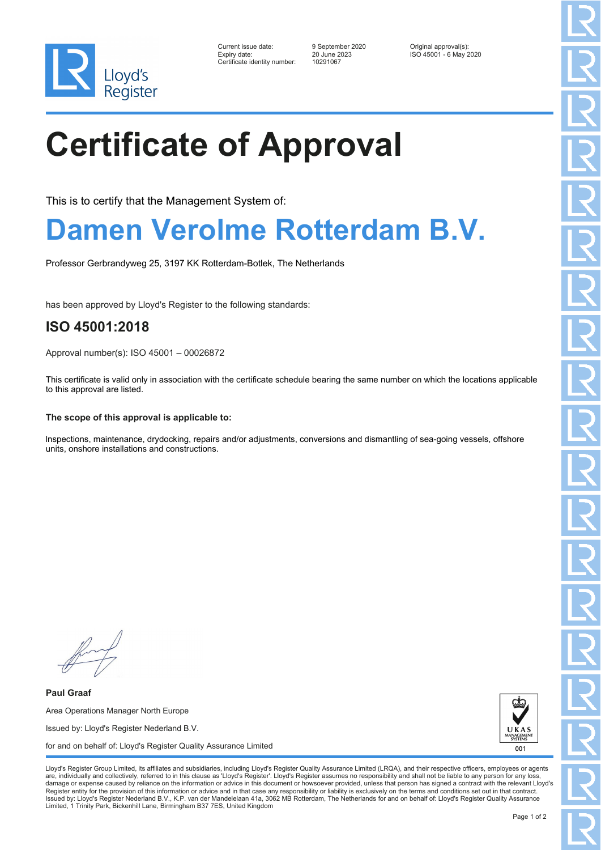

| Current issue date:          | 9 September 2020 | Original approval(s):  |
|------------------------------|------------------|------------------------|
| Expiry date:                 | 20 June 2023     | ISO 45001 - 6 May 2020 |
| Certificate identity number: | 10291067         |                        |

# **Certificate of Approval**

This is to certify that the Management System of:

### **Damen Verolme Rotterdam B.V.**

Professor Gerbrandyweg 25, 3197 KK Rotterdam-Botlek, The Netherlands

has been approved by Lloyd's Register to the following standards:

### **ISO 45001:2018**

Approval number(s): ISO 45001 – 00026872

This certificate is valid only in association with the certificate schedule bearing the same number on which the locations applicable to this approval are listed.

### **The scope of this approval is applicable to:**

lnspections, maintenance, drydocking, repairs and/or adjustments, conversions and dismantling of sea-going vessels, offshore units, onshore installations and constructions.

**Paul Graaf** Area Operations Manager North Europe Issued by: Lloyd's Register Nederland B.V. for and on behalf of: Lloyd's Register Quality Assurance Limited



Lloyd's Register Group Limited, its affiliates and subsidiaries, including Lloyd's Register Quality Assurance Limited (LRQA), and their respective officers, employees or agents are, individually and collectively, referred to in this clause as 'Lloyd's Register'. Lloyd's Register assumes no responsibility and shall not be liable to any person for any los damage or expense caused by reliance on the information or advice in this document or howsoever provided, unless that person has signed a contract with the relevant Lloyd's<br>Register entity for the provision of this informa Issued by: Lloyd's Register Nederland B.V., K.P. van der Mandelelaan 41a, 3062 MB Rotterdam, The Netherlands for and on behalf of: Lloyd's Register Quality Assurance Limited, 1 Trinity Park, Bickenhill Lane, Birmingham B37 7ES, United Kingdom